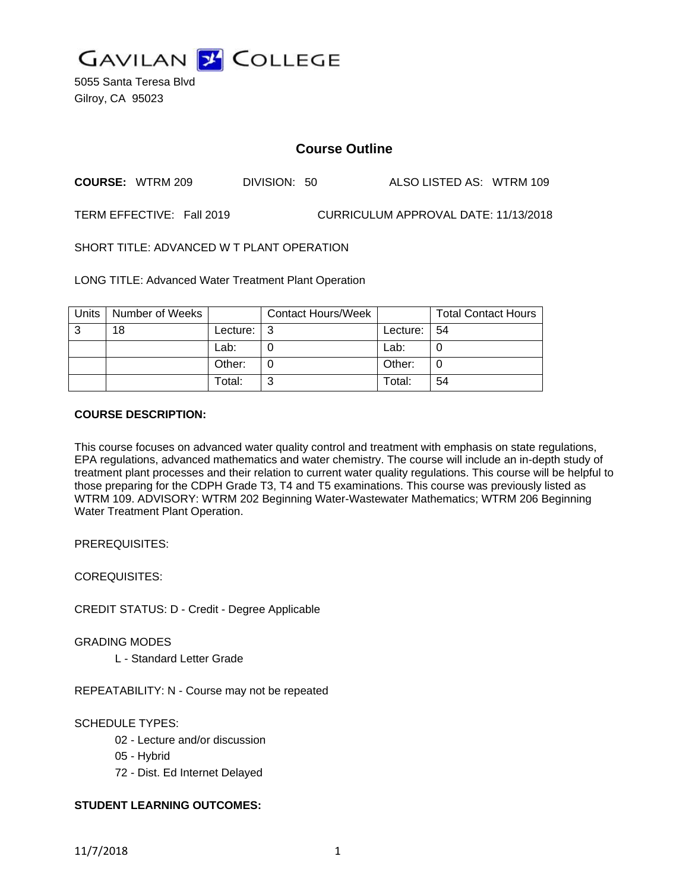

5055 Santa Teresa Blvd Gilroy, CA 95023

# **Course Outline**

**COURSE:** WTRM 209 DIVISION: 50 ALSO LISTED AS: WTRM 109

TERM EFFECTIVE: Fall 2019 CURRICULUM APPROVAL DATE: 11/13/2018

SHORT TITLE: ADVANCED W T PLANT OPERATION

LONG TITLE: Advanced Water Treatment Plant Operation

| <b>Units</b> | Number of Weeks |          | <b>Contact Hours/Week</b> |          | <b>Total Contact Hours</b> |
|--------------|-----------------|----------|---------------------------|----------|----------------------------|
| ົ            | 18              | Lecture: | ຼຈ                        | Lecture: | -54                        |
|              |                 | Lab:     |                           | Lab:     |                            |
|              |                 | Other:   |                           | Other:   |                            |
|              |                 | Total:   | ⌒                         | Total:   | 54                         |

#### **COURSE DESCRIPTION:**

This course focuses on advanced water quality control and treatment with emphasis on state regulations, EPA regulations, advanced mathematics and water chemistry. The course will include an in-depth study of treatment plant processes and their relation to current water quality regulations. This course will be helpful to those preparing for the CDPH Grade T3, T4 and T5 examinations. This course was previously listed as WTRM 109. ADVISORY: WTRM 202 Beginning Water-Wastewater Mathematics; WTRM 206 Beginning Water Treatment Plant Operation.

PREREQUISITES:

COREQUISITES:

CREDIT STATUS: D - Credit - Degree Applicable

GRADING MODES

L - Standard Letter Grade

REPEATABILITY: N - Course may not be repeated

SCHEDULE TYPES:

- 02 Lecture and/or discussion
- 05 Hybrid
- 72 Dist. Ed Internet Delayed

#### **STUDENT LEARNING OUTCOMES:**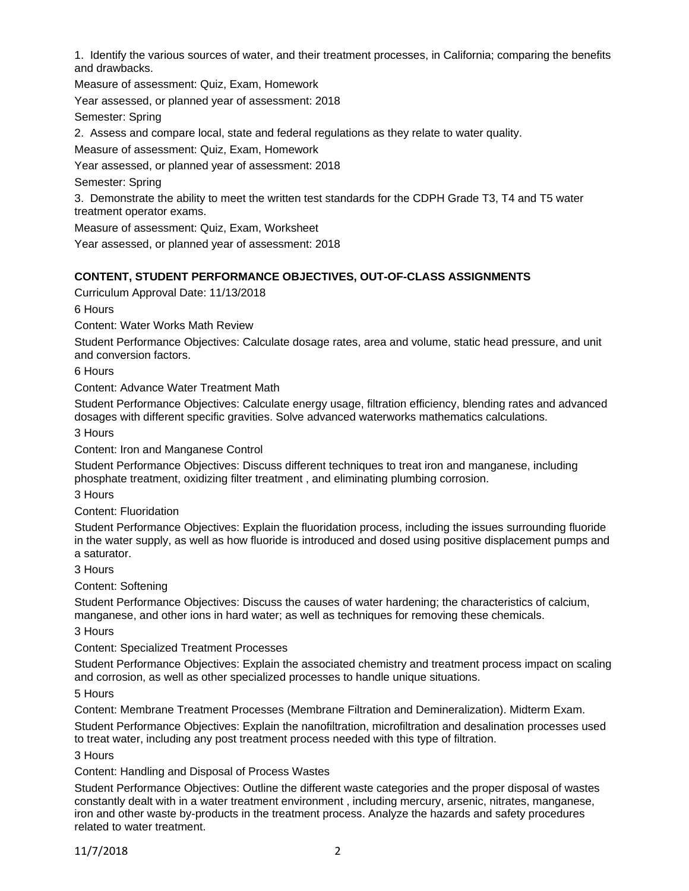1. Identify the various sources of water, and their treatment processes, in California; comparing the benefits and drawbacks.

Measure of assessment: Quiz, Exam, Homework

Year assessed, or planned year of assessment: 2018

Semester: Spring

2. Assess and compare local, state and federal regulations as they relate to water quality.

Measure of assessment: Quiz, Exam, Homework

Year assessed, or planned year of assessment: 2018

Semester: Spring

3. Demonstrate the ability to meet the written test standards for the CDPH Grade T3, T4 and T5 water treatment operator exams.

Measure of assessment: Quiz, Exam, Worksheet

Year assessed, or planned year of assessment: 2018

#### **CONTENT, STUDENT PERFORMANCE OBJECTIVES, OUT-OF-CLASS ASSIGNMENTS**

Curriculum Approval Date: 11/13/2018

6 Hours

Content: Water Works Math Review

Student Performance Objectives: Calculate dosage rates, area and volume, static head pressure, and unit and conversion factors.

6 Hours

Content: Advance Water Treatment Math

Student Performance Objectives: Calculate energy usage, filtration efficiency, blending rates and advanced dosages with different specific gravities. Solve advanced waterworks mathematics calculations.

3 Hours

Content: Iron and Manganese Control

Student Performance Objectives: Discuss different techniques to treat iron and manganese, including phosphate treatment, oxidizing filter treatment , and eliminating plumbing corrosion.

3 Hours

Content: Fluoridation

Student Performance Objectives: Explain the fluoridation process, including the issues surrounding fluoride in the water supply, as well as how fluoride is introduced and dosed using positive displacement pumps and a saturator.

3 Hours

Content: Softening

Student Performance Objectives: Discuss the causes of water hardening; the characteristics of calcium, manganese, and other ions in hard water; as well as techniques for removing these chemicals.

3 Hours

Content: Specialized Treatment Processes

Student Performance Objectives: Explain the associated chemistry and treatment process impact on scaling and corrosion, as well as other specialized processes to handle unique situations.

5 Hours

Content: Membrane Treatment Processes (Membrane Filtration and Demineralization). Midterm Exam.

Student Performance Objectives: Explain the nanofiltration, microfiltration and desalination processes used to treat water, including any post treatment process needed with this type of filtration.

3 Hours

Content: Handling and Disposal of Process Wastes

Student Performance Objectives: Outline the different waste categories and the proper disposal of wastes constantly dealt with in a water treatment environment , including mercury, arsenic, nitrates, manganese, iron and other waste by-products in the treatment process. Analyze the hazards and safety procedures related to water treatment.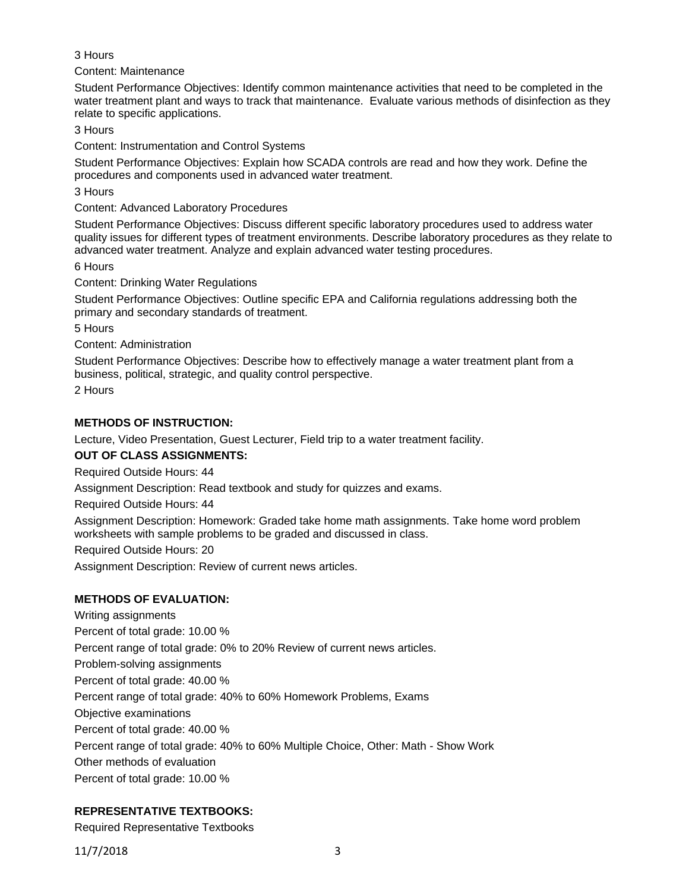#### 3 Hours

Content: Maintenance

Student Performance Objectives: Identify common maintenance activities that need to be completed in the water treatment plant and ways to track that maintenance. Evaluate various methods of disinfection as they relate to specific applications.

3 Hours

Content: Instrumentation and Control Systems

Student Performance Objectives: Explain how SCADA controls are read and how they work. Define the procedures and components used in advanced water treatment.

3 Hours

Content: Advanced Laboratory Procedures

Student Performance Objectives: Discuss different specific laboratory procedures used to address water quality issues for different types of treatment environments. Describe laboratory procedures as they relate to advanced water treatment. Analyze and explain advanced water testing procedures.

6 Hours

Content: Drinking Water Regulations

Student Performance Objectives: Outline specific EPA and California regulations addressing both the primary and secondary standards of treatment.

5 Hours

Content: Administration

Student Performance Objectives: Describe how to effectively manage a water treatment plant from a business, political, strategic, and quality control perspective.

2 Hours

# **METHODS OF INSTRUCTION:**

Lecture, Video Presentation, Guest Lecturer, Field trip to a water treatment facility.

# **OUT OF CLASS ASSIGNMENTS:**

Required Outside Hours: 44

Assignment Description: Read textbook and study for quizzes and exams.

Required Outside Hours: 44

Assignment Description: Homework: Graded take home math assignments. Take home word problem worksheets with sample problems to be graded and discussed in class.

Required Outside Hours: 20

Assignment Description: Review of current news articles.

# **METHODS OF EVALUATION:**

Writing assignments Percent of total grade: 10.00 % Percent range of total grade: 0% to 20% Review of current news articles. Problem-solving assignments Percent of total grade: 40.00 % Percent range of total grade: 40% to 60% Homework Problems, Exams Objective examinations Percent of total grade: 40.00 % Percent range of total grade: 40% to 60% Multiple Choice, Other: Math - Show Work Other methods of evaluation Percent of total grade: 10.00 %

# **REPRESENTATIVE TEXTBOOKS:**

Required Representative Textbooks